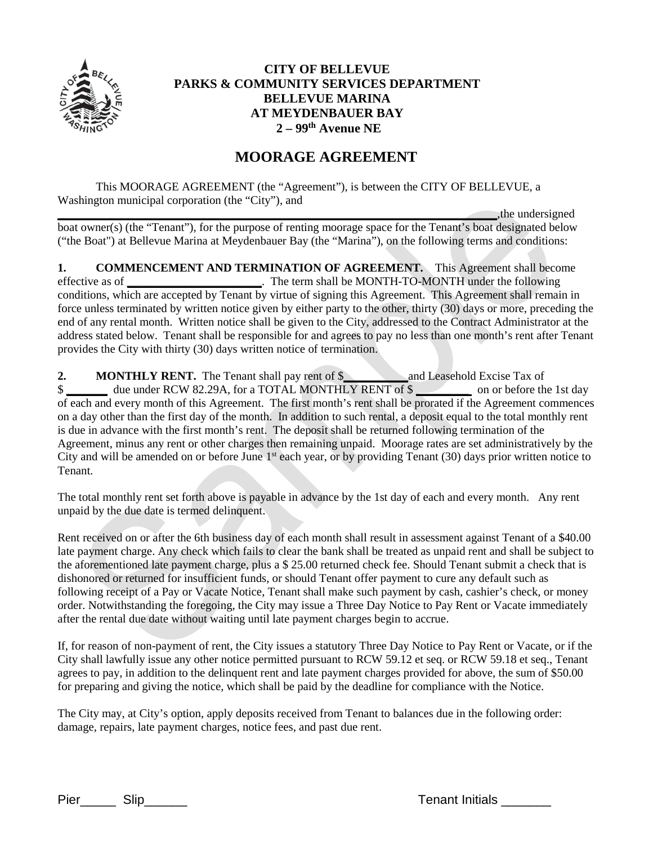

## **CITY OF BELLEVUE PARKS & COMMUNITY SERVICES DEPARTMENT BELLEVUE MARINA AT MEYDENBAUER BAY 2 – 99th Avenue NE**

## **MOORAGE AGREEMENT**

This MOORAGE AGREEMENT (the "Agreement"), is between the CITY OF BELLEVUE, a Washington municipal corporation (the "City"), and

**the undersigned** boat owner(s) (the "Tenant"), for the purpose of renting moorage space for the Tenant's boat designated below ("the Boat") at Bellevue Marina at Meydenbauer Bay (the "Marina"), on the following terms and conditions:

**1. COMMENCEMENT AND TERMINATION OF AGREEMENT.** This Agreement shall become effective as of **\_\_\_\_\_\_\_\_\_\_\_\_\_\_\_\_\_\_\_\_\_\_\_**. The term shall be MONTH-TO-MONTH under the following conditions, which are accepted by Tenant by virtue of signing this Agreement. This Agreement shall remain in force unless terminated by written notice given by either party to the other, thirty (30) days or more, preceding the end of any rental month. Written notice shall be given to the City, addressed to the Contract Administrator at the address stated below. Tenant shall be responsible for and agrees to pay no less than one month's rent after Tenant provides the City with thirty (30) days written notice of termination.

**2. MONTHLY RENT.** The Tenant shall pay rent of \$**\_\_\_\_\_\_\_\_\_\_\_**and Leasehold Excise Tax of \$ **\_\_\_\_\_\_\_** due under RCW 82.29A, for a TOTAL MONTHLY RENT of \$ **\_\_\_\_\_\_\_\_\_** on or before the 1st day of each and every month of this Agreement. The first month's rent shall be prorated if the Agreement commences on a day other than the first day of the month. In addition to such rental, a deposit equal to the total monthly rent is due in advance with the first month's rent. The deposit shall be returned following termination of the Agreement, minus any rent or other charges then remaining unpaid. Moorage rates are set administratively by the City and will be amended on or before June 1<sup>st</sup> each year, or by providing Tenant (30) days prior written notice to Tenant.

The total monthly rent set forth above is payable in advance by the 1st day of each and every month. Any rent unpaid by the due date is termed delinquent.

Rent received on or after the 6th business day of each month shall result in assessment against Tenant of a \$40.00 late payment charge. Any check which fails to clear the bank shall be treated as unpaid rent and shall be subject to the aforementioned late payment charge, plus a \$ 25.00 returned check fee. Should Tenant submit a check that is dishonored or returned for insufficient funds, or should Tenant offer payment to cure any default such as following receipt of a Pay or Vacate Notice, Tenant shall make such payment by cash, cashier's check, or money order. Notwithstanding the foregoing, the City may issue a Three Day Notice to Pay Rent or Vacate immediately after the rental due date without waiting until late payment charges begin to accrue.

If, for reason of non-payment of rent, the City issues a statutory Three Day Notice to Pay Rent or Vacate, or if the City shall lawfully issue any other notice permitted pursuant to RCW 59.12 et seq. or RCW 59.18 et seq., Tenant agrees to pay, in addition to the delinquent rent and late payment charges provided for above, the sum of \$50.00 for preparing and giving the notice, which shall be paid by the deadline for compliance with the Notice.

The City may, at City's option, apply deposits received from Tenant to balances due in the following order: damage, repairs, late payment charges, notice fees, and past due rent.

Pier Slip Slip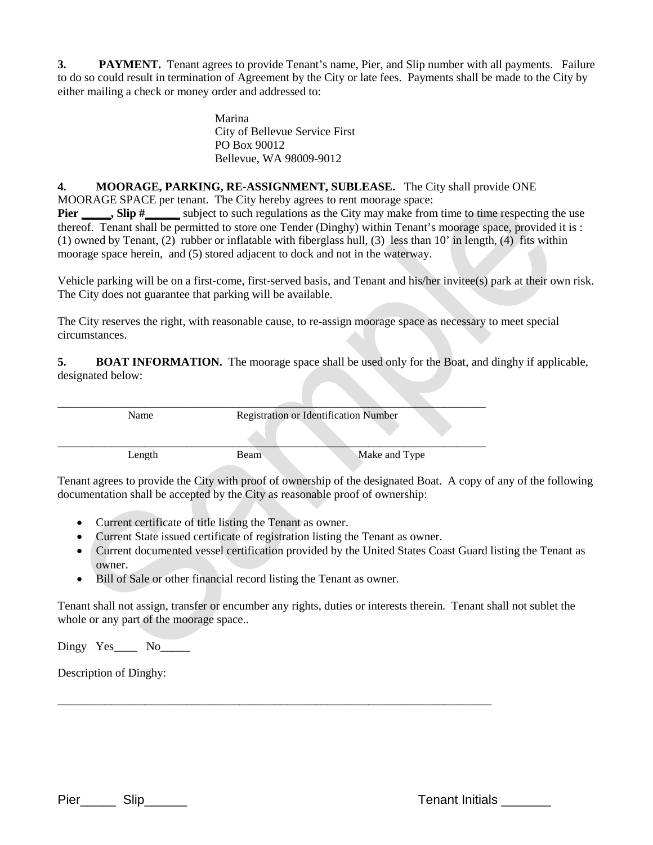**3. PAYMENT.** Tenant agrees to provide Tenant's name, Pier, and Slip number with all payments. Failure to do so could result in termination of Agreement by the City or late fees. Payments shall be made to the City by either mailing a check or money order and addressed to:

> Marina City of Bellevue Service First PO Box 90012 Bellevue, WA 98009-9012

**4. MOORAGE, PARKING, RE-ASSIGNMENT, SUBLEASE.** The City shall provide ONE

MOORAGE SPACE per tenant. The City hereby agrees to rent moorage space:

**Pier \_\_\_\_\_, Slip #\_\_\_\_\_** subject to such regulations as the City may make from time to time respecting the use thereof. Tenant shall be permitted to store one Tender (Dinghy) within Tenant's moorage space, provided it is : (1) owned by Tenant, (2) rubber or inflatable with fiberglass hull, (3) less than 10' in length, (4) fits within moorage space herein, and (5) stored adjacent to dock and not in the waterway.

Vehicle parking will be on a first-come, first-served basis, and Tenant and his/her invitee(s) park at their own risk. The City does not guarantee that parking will be available.

The City reserves the right, with reasonable cause, to re-assign moorage space as necessary to meet special circumstances.

**5. BOAT INFORMATION.** The moorage space shall be used only for the Boat, and dinghy if applicable, designated below:

\_\_\_\_\_\_\_\_\_\_\_\_\_\_\_\_\_\_\_\_\_\_\_\_\_\_\_\_\_\_\_\_\_\_\_\_\_\_\_\_\_\_\_\_\_\_\_\_\_\_\_\_\_\_\_\_\_\_\_\_\_\_\_\_\_\_\_\_\_\_\_\_\_ Name Registration or Identification Number  $\mathcal{L} = \{ \mathcal{L} \mid \mathcal{L} \in \mathcal{L} \}$  , where  $\mathcal{L} = \{ \mathcal{L} \mid \mathcal{L} \in \mathcal{L} \}$  , where  $\mathcal{L} = \{ \mathcal{L} \mid \mathcal{L} \in \mathcal{L} \}$ Length Beam Make and Type

Tenant agrees to provide the City with proof of ownership of the designated Boat. A copy of any of the following documentation shall be accepted by the City as reasonable proof of ownership:

- Current certificate of title listing the Tenant as owner.
- Current State issued certificate of registration listing the Tenant as owner.

\_\_\_\_\_\_\_\_\_\_\_\_\_\_\_\_\_\_\_\_\_\_\_\_\_\_\_\_\_\_\_\_\_\_\_\_\_\_\_\_\_\_\_\_\_\_\_\_\_\_\_\_\_\_\_\_\_\_\_\_\_\_\_\_\_\_\_\_\_\_\_\_\_\_

- Current documented vessel certification provided by the United States Coast Guard listing the Tenant as owner.
- Bill of Sale or other financial record listing the Tenant as owner.

Tenant shall not assign, transfer or encumber any rights, duties or interests therein. Tenant shall not sublet the whole or any part of the moorage space..

Dingy Yes No

Description of Dinghy:

Pier\_\_\_\_\_ Slip\_\_\_\_\_\_ Tenant Initials \_\_\_\_\_\_\_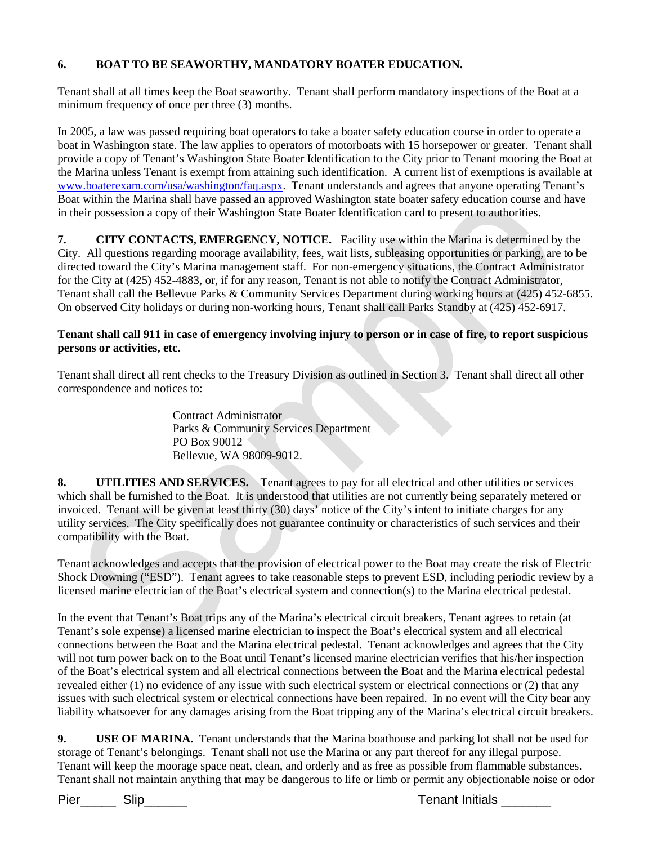## **6. BOAT TO BE SEAWORTHY, MANDATORY BOATER EDUCATION.**

Tenant shall at all times keep the Boat seaworthy. Tenant shall perform mandatory inspections of the Boat at a minimum frequency of once per three (3) months.

In 2005, a law was passed requiring boat operators to take a boater safety education course in order to operate a boat in Washington state. The law applies to operators of motorboats with 15 horsepower or greater. Tenant shall provide a copy of Tenant's Washington State Boater Identification to the City prior to Tenant mooring the Boat at the Marina unless Tenant is exempt from attaining such identification. A current list of exemptions is available at [www.boaterexam.com/usa/washington/faq.aspx.](http://www.boaterexam.com/usa/washington/faq.aspx) Tenant understands and agrees that anyone operating Tenant's Boat within the Marina shall have passed an approved Washington state boater safety education course and have in their possession a copy of their Washington State Boater Identification card to present to authorities.

**7. CITY CONTACTS, EMERGENCY, NOTICE.** Facility use within the Marina is determined by the City. All questions regarding moorage availability, fees, wait lists, subleasing opportunities or parking, are to be directed toward the City's Marina management staff. For non-emergency situations, the Contract Administrator for the City at (425) 452-4883, or, if for any reason, Tenant is not able to notify the Contract Administrator, Tenant shall call the Bellevue Parks & Community Services Department during working hours at (425) 452-6855. On observed City holidays or during non-working hours, Tenant shall call Parks Standby at (425) 452-6917.

## **Tenant shall call 911 in case of emergency involving injury to person or in case of fire, to report suspicious persons or activities, etc.**

Tenant shall direct all rent checks to the Treasury Division as outlined in Section 3. Tenant shall direct all other correspondence and notices to:

> Contract Administrator Parks & Community Services Department PO Box 90012 Bellevue, WA 98009-9012.

**8. UTILITIES AND SERVICES.** Tenant agrees to pay for all electrical and other utilities or services which shall be furnished to the Boat. It is understood that utilities are not currently being separately metered or invoiced. Tenant will be given at least thirty (30) days' notice of the City's intent to initiate charges for any utility services. The City specifically does not guarantee continuity or characteristics of such services and their compatibility with the Boat.

Tenant acknowledges and accepts that the provision of electrical power to the Boat may create the risk of Electric Shock Drowning ("ESD"). Tenant agrees to take reasonable steps to prevent ESD, including periodic review by a licensed marine electrician of the Boat's electrical system and connection(s) to the Marina electrical pedestal.

In the event that Tenant's Boat trips any of the Marina's electrical circuit breakers, Tenant agrees to retain (at Tenant's sole expense) a licensed marine electrician to inspect the Boat's electrical system and all electrical connections between the Boat and the Marina electrical pedestal. Tenant acknowledges and agrees that the City will not turn power back on to the Boat until Tenant's licensed marine electrician verifies that his/her inspection of the Boat's electrical system and all electrical connections between the Boat and the Marina electrical pedestal revealed either (1) no evidence of any issue with such electrical system or electrical connections or (2) that any issues with such electrical system or electrical connections have been repaired. In no event will the City bear any liability whatsoever for any damages arising from the Boat tripping any of the Marina's electrical circuit breakers.

**9. USE OF MARINA.** Tenant understands that the Marina boathouse and parking lot shall not be used for storage of Tenant's belongings. Tenant shall not use the Marina or any part thereof for any illegal purpose. Tenant will keep the moorage space neat, clean, and orderly and as free as possible from flammable substances. Tenant shall not maintain anything that may be dangerous to life or limb or permit any objectionable noise or odor

Pier\_\_\_\_\_\_ Slip\_\_\_\_\_\_\_\_ Tenant Initials \_\_\_\_\_\_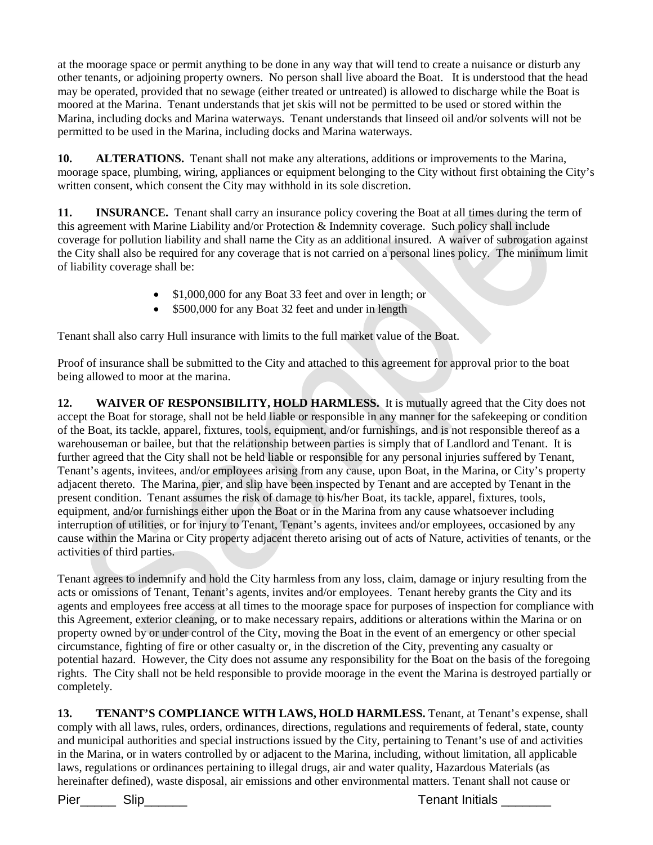at the moorage space or permit anything to be done in any way that will tend to create a nuisance or disturb any other tenants, or adjoining property owners. No person shall live aboard the Boat. It is understood that the head may be operated, provided that no sewage (either treated or untreated) is allowed to discharge while the Boat is moored at the Marina. Tenant understands that jet skis will not be permitted to be used or stored within the Marina, including docks and Marina waterways. Tenant understands that linseed oil and/or solvents will not be permitted to be used in the Marina, including docks and Marina waterways.

**10. ALTERATIONS.** Tenant shall not make any alterations, additions or improvements to the Marina, moorage space, plumbing, wiring, appliances or equipment belonging to the City without first obtaining the City's written consent, which consent the City may withhold in its sole discretion.

**11. INSURANCE.** Tenant shall carry an insurance policy covering the Boat at all times during the term of this agreement with Marine Liability and/or Protection & Indemnity coverage. Such policy shall include coverage for pollution liability and shall name the City as an additional insured. A waiver of subrogation against the City shall also be required for any coverage that is not carried on a personal lines policy. The minimum limit of liability coverage shall be:

- \$1,000,000 for any Boat 33 feet and over in length; or
- \$500,000 for any Boat 32 feet and under in length

Tenant shall also carry Hull insurance with limits to the full market value of the Boat.

Proof of insurance shall be submitted to the City and attached to this agreement for approval prior to the boat being allowed to moor at the marina.

**12. WAIVER OF RESPONSIBILITY, HOLD HARMLESS.** It is mutually agreed that the City does not accept the Boat for storage, shall not be held liable or responsible in any manner for the safekeeping or condition of the Boat, its tackle, apparel, fixtures, tools, equipment, and/or furnishings, and is not responsible thereof as a warehouseman or bailee, but that the relationship between parties is simply that of Landlord and Tenant. It is further agreed that the City shall not be held liable or responsible for any personal injuries suffered by Tenant, Tenant's agents, invitees, and/or employees arising from any cause, upon Boat, in the Marina, or City's property adjacent thereto. The Marina, pier, and slip have been inspected by Tenant and are accepted by Tenant in the present condition. Tenant assumes the risk of damage to his/her Boat, its tackle, apparel, fixtures, tools, equipment, and/or furnishings either upon the Boat or in the Marina from any cause whatsoever including interruption of utilities, or for injury to Tenant, Tenant's agents, invitees and/or employees, occasioned by any cause within the Marina or City property adjacent thereto arising out of acts of Nature, activities of tenants, or the activities of third parties.

Tenant agrees to indemnify and hold the City harmless from any loss, claim, damage or injury resulting from the acts or omissions of Tenant, Tenant's agents, invites and/or employees. Tenant hereby grants the City and its agents and employees free access at all times to the moorage space for purposes of inspection for compliance with this Agreement, exterior cleaning, or to make necessary repairs, additions or alterations within the Marina or on property owned by or under control of the City, moving the Boat in the event of an emergency or other special circumstance, fighting of fire or other casualty or, in the discretion of the City, preventing any casualty or potential hazard. However, the City does not assume any responsibility for the Boat on the basis of the foregoing rights. The City shall not be held responsible to provide moorage in the event the Marina is destroyed partially or completely.

**13. TENANT'S COMPLIANCE WITH LAWS, HOLD HARMLESS.** Tenant, at Tenant's expense, shall comply with all laws, rules, orders, ordinances, directions, regulations and requirements of federal, state, county and municipal authorities and special instructions issued by the City, pertaining to Tenant's use of and activities in the Marina, or in waters controlled by or adjacent to the Marina, including, without limitation, all applicable laws, regulations or ordinances pertaining to illegal drugs, air and water quality, Hazardous Materials (as hereinafter defined), waste disposal, air emissions and other environmental matters. Tenant shall not cause or

Pier\_\_\_\_\_\_ Slip\_\_\_\_\_\_\_\_ Tenant Initials \_\_\_\_\_\_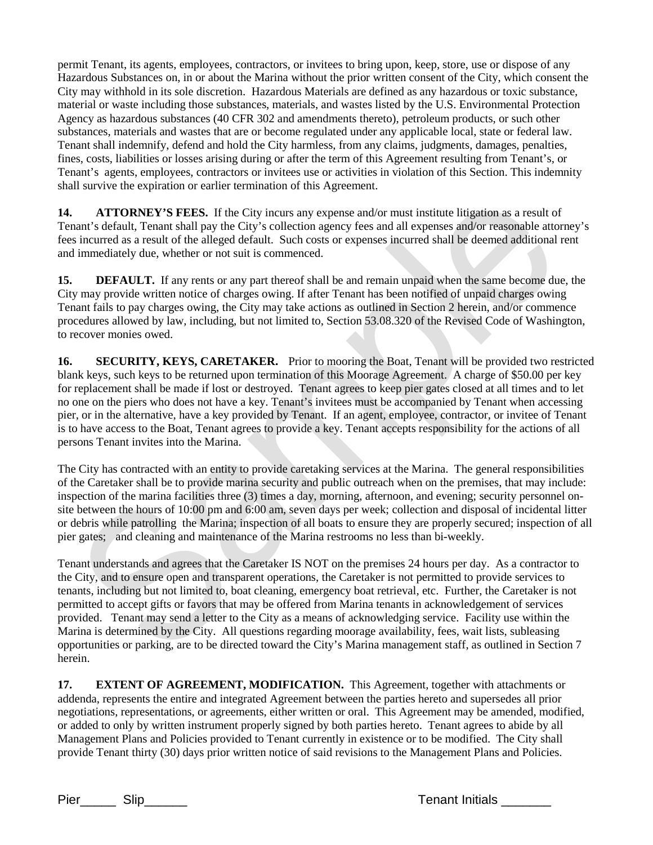permit Tenant, its agents, employees, contractors, or invitees to bring upon, keep, store, use or dispose of any Hazardous Substances on, in or about the Marina without the prior written consent of the City, which consent the City may withhold in its sole discretion. Hazardous Materials are defined as any hazardous or toxic substance, material or waste including those substances, materials, and wastes listed by the U.S. Environmental Protection Agency as hazardous substances (40 CFR 302 and amendments thereto), petroleum products, or such other substances, materials and wastes that are or become regulated under any applicable local, state or federal law. Tenant shall indemnify, defend and hold the City harmless, from any claims, judgments, damages, penalties, fines, costs, liabilities or losses arising during or after the term of this Agreement resulting from Tenant's, or Tenant's agents, employees, contractors or invitees use or activities in violation of this Section. This indemnity shall survive the expiration or earlier termination of this Agreement.

**14. ATTORNEY'S FEES.** If the City incurs any expense and/or must institute litigation as a result of Tenant's default, Tenant shall pay the City's collection agency fees and all expenses and/or reasonable attorney's fees incurred as a result of the alleged default. Such costs or expenses incurred shall be deemed additional rent and immediately due, whether or not suit is commenced.

**15. DEFAULT.** If any rents or any part thereof shall be and remain unpaid when the same become due, the City may provide written notice of charges owing. If after Tenant has been notified of unpaid charges owing Tenant fails to pay charges owing, the City may take actions as outlined in Section 2 herein, and/or commence procedures allowed by law, including, but not limited to, Section 53.08.320 of the Revised Code of Washington, to recover monies owed.

**16. SECURITY, KEYS, CARETAKER.** Prior to mooring the Boat, Tenant will be provided two restricted blank keys, such keys to be returned upon termination of this Moorage Agreement. A charge of \$50.00 per key for replacement shall be made if lost or destroyed. Tenant agrees to keep pier gates closed at all times and to let no one on the piers who does not have a key. Tenant's invitees must be accompanied by Tenant when accessing pier, or in the alternative, have a key provided by Tenant. If an agent, employee, contractor, or invitee of Tenant is to have access to the Boat, Tenant agrees to provide a key. Tenant accepts responsibility for the actions of all persons Tenant invites into the Marina.

The City has contracted with an entity to provide caretaking services at the Marina. The general responsibilities of the Caretaker shall be to provide marina security and public outreach when on the premises, that may include: inspection of the marina facilities three (3) times a day, morning, afternoon, and evening; security personnel onsite between the hours of 10:00 pm and 6:00 am, seven days per week; collection and disposal of incidental litter or debris while patrolling the Marina; inspection of all boats to ensure they are properly secured; inspection of all pier gates; and cleaning and maintenance of the Marina restrooms no less than bi-weekly.

Tenant understands and agrees that the Caretaker IS NOT on the premises 24 hours per day. As a contractor to the City, and to ensure open and transparent operations, the Caretaker is not permitted to provide services to tenants, including but not limited to, boat cleaning, emergency boat retrieval, etc. Further, the Caretaker is not permitted to accept gifts or favors that may be offered from Marina tenants in acknowledgement of services provided. Tenant may send a letter to the City as a means of acknowledging service. Facility use within the Marina is determined by the City. All questions regarding moorage availability, fees, wait lists, subleasing opportunities or parking, are to be directed toward the City's Marina management staff, as outlined in Section 7 herein.

**17. EXTENT OF AGREEMENT, MODIFICATION.** This Agreement, together with attachments or addenda, represents the entire and integrated Agreement between the parties hereto and supersedes all prior negotiations, representations, or agreements, either written or oral. This Agreement may be amended, modified, or added to only by written instrument properly signed by both parties hereto. Tenant agrees to abide by all Management Plans and Policies provided to Tenant currently in existence or to be modified. The City shall provide Tenant thirty (30) days prior written notice of said revisions to the Management Plans and Policies.

Pier\_\_\_\_\_\_ Slip\_\_\_\_\_\_\_\_ Tenant Initials \_\_\_\_\_\_